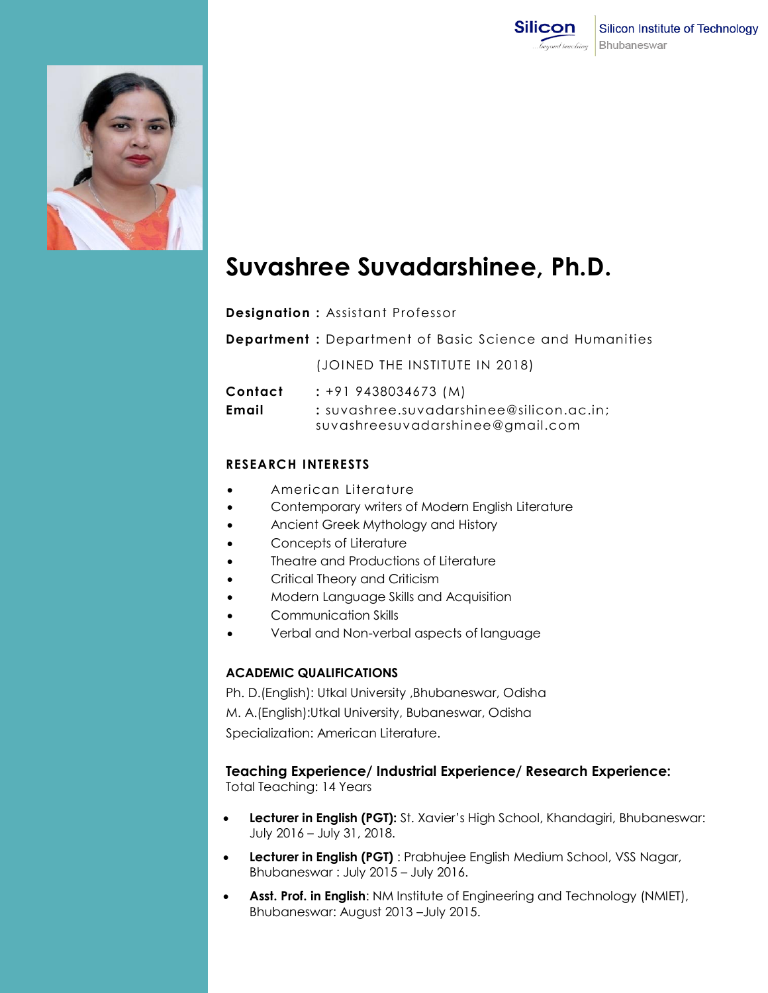



# **Suvashree Suvadarshinee, Ph.D.**

**Designation :** Assistant Professor

**Department :** Department of Basic Science and Humanities

(JOINED THE INSTITUTE IN 2018)

| Contact | $: +919438034673(M)$                       |
|---------|--------------------------------------------|
| Email   | $:$ suvashree.suvadarshinee@silicon.ac.in: |
|         | suvashreesuvadarshinee@gmail.com           |

## **RESEARCH INTERESTS**

- American Literature
- Contemporary writers of Modern English Literature
- Ancient Greek Mythology and History
- Concepts of Literature
- Theatre and Productions of Literature
- Critical Theory and Criticism
- Modern Language Skills and Acquisition
- Communication Skills
- Verbal and Non-verbal aspects of language

#### **ACADEMIC QUALIFICATIONS**

Ph. D.(English): Utkal University ,Bhubaneswar, Odisha M. A.(English):Utkal University, Bubaneswar, Odisha Specialization: American Literature.

### **Teaching Experience/ Industrial Experience/ Research Experience:**

Total Teaching: 14 Years

- **Lecturer in English (PGT):** St. Xavier's High School, Khandagiri, Bhubaneswar: July 2016 – July 31, 2018.
- **Lecturer in English (PGT)** : Prabhujee English Medium School, VSS Nagar, Bhubaneswar : July 2015 – July 2016.
- **Asst. Prof. in English**: NM Institute of Engineering and Technology (NMIET), Bhubaneswar: August 2013 –July 2015.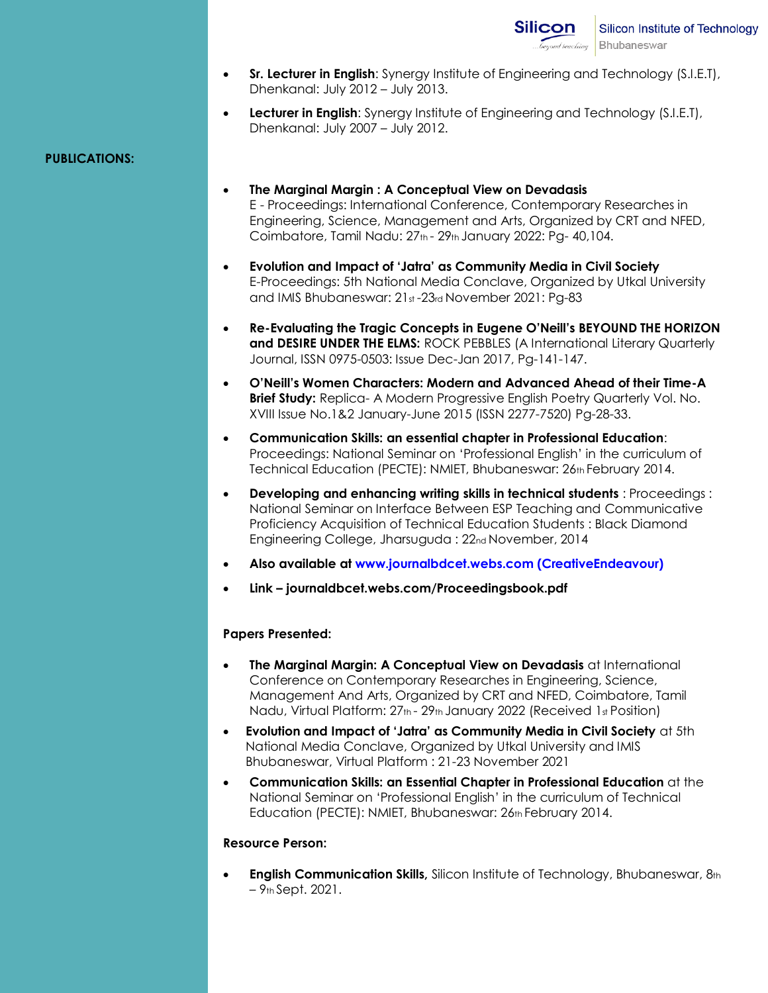- **Sr. Lecturer in English**: Synergy Institute of Engineering and Technology (S.I.E.T), Dhenkanal: July 2012 – July 2013.
- **Lecturer in English**: Synergy Institute of Engineering and Technology (S.I.E.T), Dhenkanal: July 2007 – July 2012.

## **PUBLICATIONS:**

- **The Marginal Margin : A Conceptual View on Devadasis**  E - Proceedings: International Conference, Contemporary Researches in Engineering, Science, Management and Arts, Organized by CRT and NFED, Coimbatore, Tamil Nadu: 27th - 29th January 2022: Pg- 40,104.
- **Evolution and Impact of 'Jatra' as Community Media in Civil Society**  E-Proceedings: 5th National Media Conclave, Organized by Utkal University and IMIS Bhubaneswar: 21st -23rd November 2021: Pg-83
- **Re-Evaluating the Tragic Concepts in Eugene O'Neill's BEYOUND THE HORIZON and DESIRE UNDER THE ELMS:** ROCK PEBBLES (A International Literary Quarterly Journal, ISSN 0975-0503: Issue Dec-Jan 2017, Pg-141-147.
- **O'Neill's Women Characters: Modern and Advanced Ahead of their Time-A Brief Study:** Replica- A Modern Progressive English Poetry Quarterly Vol. No. XVIII Issue No.1&2 January-June 2015 (ISSN 2277-7520) Pg-28-33.
- **Communication Skills: an essential chapter in Professional Education**: Proceedings: National Seminar on 'Professional English' in the curriculum of Technical Education (PECTE): NMIET, Bhubaneswar: 26th February 2014.
- **Developing and enhancing writing skills in technical students** : Proceedings : National Seminar on Interface Between ESP Teaching and Communicative Proficiency Acquisition of Technical Education Students : Black Diamond Engineering College, Jharsuguda : 22nd November, 2014
- **Also available at www.journalbdcet.webs.com (CreativeEndeavour)**
- **Link – journaldbcet.webs.com/Proceedingsbook.pdf**

## **Papers Presented:**

- **The Marginal Margin: A Conceptual View on Devadasis** at International Conference on Contemporary Researches in Engineering, Science, Management And Arts, Organized by CRT and NFED, Coimbatore, Tamil Nadu, Virtual Platform: 27th - 29th January 2022 (Received 1st Position)
- **Evolution and Impact of 'Jatra' as Community Media in Civil Society** at 5th National Media Conclave, Organized by Utkal University and IMIS Bhubaneswar, Virtual Platform : 21-23 November 2021
- **Communication Skills: an Essential Chapter in Professional Education** at the National Seminar on 'Professional English' in the curriculum of Technical Education (PECTE): NMIET, Bhubaneswar: 26th February 2014.

### **Resource Person:**

 **English Communication Skills,** Silicon Institute of Technology, Bhubaneswar, 8th – 9th Sept. 2021.